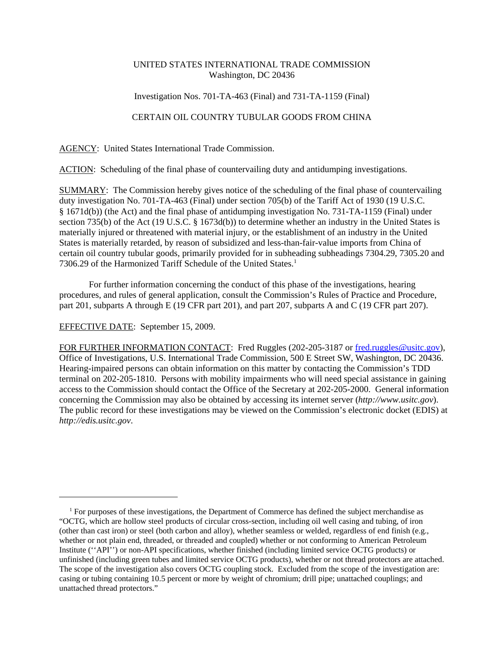## UNITED STATES INTERNATIONAL TRADE COMMISSION Washington, DC 20436

## Investigation Nos. 701-TA-463 (Final) and 731-TA-1159 (Final)

## CERTAIN OIL COUNTRY TUBULAR GOODS FROM CHINA

AGENCY: United States International Trade Commission.

ACTION: Scheduling of the final phase of countervailing duty and antidumping investigations.

SUMMARY: The Commission hereby gives notice of the scheduling of the final phase of countervailing duty investigation No. 701-TA-463 (Final) under section 705(b) of the Tariff Act of 1930 (19 U.S.C. § 1671d(b)) (the Act) and the final phase of antidumping investigation No. 731-TA-1159 (Final) under section 735(b) of the Act (19 U.S.C. § 1673d(b)) to determine whether an industry in the United States is materially injured or threatened with material injury, or the establishment of an industry in the United States is materially retarded, by reason of subsidized and less-than-fair-value imports from China of certain oil country tubular goods, primarily provided for in subheading subheadings 7304.29, 7305.20 and 7306.29 of the Harmonized Tariff Schedule of the United States.<sup>1</sup>

For further information concerning the conduct of this phase of the investigations, hearing procedures, and rules of general application, consult the Commission's Rules of Practice and Procedure, part 201, subparts A through E (19 CFR part 201), and part 207, subparts A and C (19 CFR part 207).

EFFECTIVE DATE: September 15, 2009.

FOR FURTHER INFORMATION CONTACT: Fred Ruggles (202-205-3187 or fred.ruggles@usitc.gov), Office of Investigations, U.S. International Trade Commission, 500 E Street SW, Washington, DC 20436. Hearing-impaired persons can obtain information on this matter by contacting the Commission's TDD terminal on 202-205-1810. Persons with mobility impairments who will need special assistance in gaining access to the Commission should contact the Office of the Secretary at 202-205-2000. General information concerning the Commission may also be obtained by accessing its internet server (*http://www.usitc.gov*). The public record for these investigations may be viewed on the Commission's electronic docket (EDIS) at *http://edis.usitc.gov*.

<sup>&</sup>lt;sup>1</sup> For purposes of these investigations, the Department of Commerce has defined the subject merchandise as "OCTG, which are hollow steel products of circular cross-section, including oil well casing and tubing, of iron (other than cast iron) or steel (both carbon and alloy), whether seamless or welded, regardless of end finish (e.g., whether or not plain end, threaded, or threaded and coupled) whether or not conforming to American Petroleum Institute (''API'') or non-API specifications, whether finished (including limited service OCTG products) or unfinished (including green tubes and limited service OCTG products), whether or not thread protectors are attached. The scope of the investigation also covers OCTG coupling stock. Excluded from the scope of the investigation are: casing or tubing containing 10.5 percent or more by weight of chromium; drill pipe; unattached couplings; and unattached thread protectors."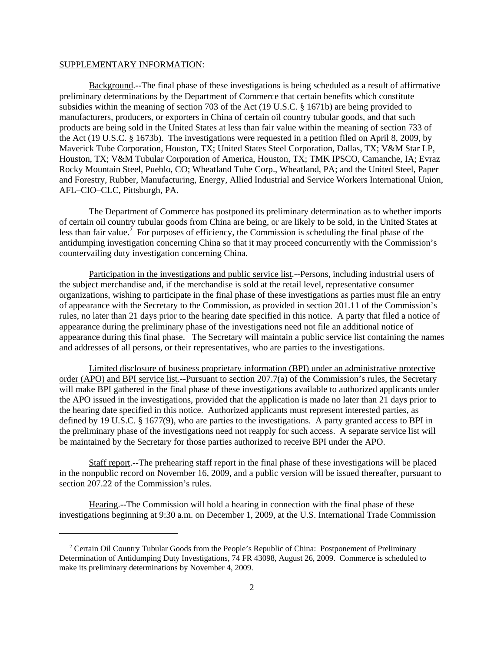## SUPPLEMENTARY INFORMATION:

Background.--The final phase of these investigations is being scheduled as a result of affirmative preliminary determinations by the Department of Commerce that certain benefits which constitute subsidies within the meaning of section 703 of the Act (19 U.S.C. § 1671b) are being provided to manufacturers, producers, or exporters in China of certain oil country tubular goods, and that such products are being sold in the United States at less than fair value within the meaning of section 733 of the Act (19 U.S.C. § 1673b). The investigations were requested in a petition filed on April 8, 2009, by Maverick Tube Corporation, Houston, TX; United States Steel Corporation, Dallas, TX; V&M Star LP, Houston, TX; V&M Tubular Corporation of America, Houston, TX; TMK IPSCO, Camanche, IA; Evraz Rocky Mountain Steel, Pueblo, CO; Wheatland Tube Corp., Wheatland, PA; and the United Steel, Paper and Forestry, Rubber, Manufacturing, Energy, Allied Industrial and Service Workers International Union, AFL–CIO–CLC, Pittsburgh, PA.

The Department of Commerce has postponed its preliminary determination as to whether imports of certain oil country tubular goods from China are being, or are likely to be sold, in the United States at less than fair value.<sup>2</sup> For purposes of efficiency, the Commission is scheduling the final phase of the antidumping investigation concerning China so that it may proceed concurrently with the Commission's countervailing duty investigation concerning China.

Participation in the investigations and public service list.--Persons, including industrial users of the subject merchandise and, if the merchandise is sold at the retail level, representative consumer organizations, wishing to participate in the final phase of these investigations as parties must file an entry of appearance with the Secretary to the Commission, as provided in section 201.11 of the Commission's rules, no later than 21 days prior to the hearing date specified in this notice. A party that filed a notice of appearance during the preliminary phase of the investigations need not file an additional notice of appearance during this final phase. The Secretary will maintain a public service list containing the names and addresses of all persons, or their representatives, who are parties to the investigations.

Limited disclosure of business proprietary information (BPI) under an administrative protective order (APO) and BPI service list.--Pursuant to section 207.7(a) of the Commission's rules, the Secretary will make BPI gathered in the final phase of these investigations available to authorized applicants under the APO issued in the investigations, provided that the application is made no later than 21 days prior to the hearing date specified in this notice. Authorized applicants must represent interested parties, as defined by 19 U.S.C. § 1677(9), who are parties to the investigations. A party granted access to BPI in the preliminary phase of the investigations need not reapply for such access. A separate service list will be maintained by the Secretary for those parties authorized to receive BPI under the APO.

Staff report.--The prehearing staff report in the final phase of these investigations will be placed in the nonpublic record on November 16, 2009, and a public version will be issued thereafter, pursuant to section 207.22 of the Commission's rules.

Hearing.--The Commission will hold a hearing in connection with the final phase of these investigations beginning at 9:30 a.m. on December 1, 2009, at the U.S. International Trade Commission

<sup>&</sup>lt;sup>2</sup> Certain Oil Country Tubular Goods from the People's Republic of China: Postponement of Preliminary Determination of Antidumping Duty Investigations, 74 FR 43098, August 26, 2009. Commerce is scheduled to make its preliminary determinations by November 4, 2009.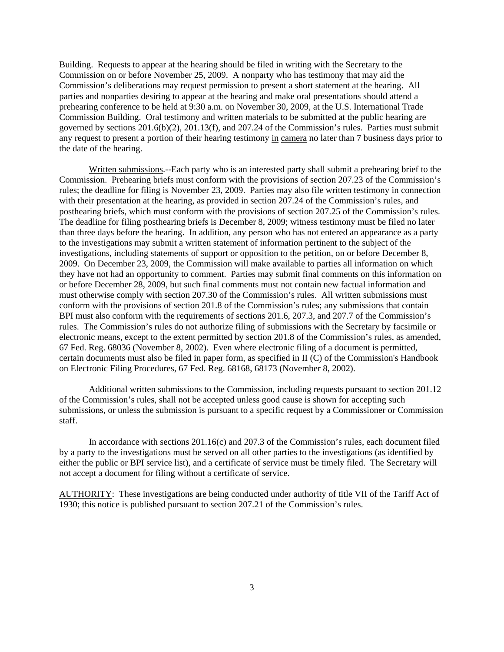Building. Requests to appear at the hearing should be filed in writing with the Secretary to the Commission on or before November 25, 2009. A nonparty who has testimony that may aid the Commission's deliberations may request permission to present a short statement at the hearing. All parties and nonparties desiring to appear at the hearing and make oral presentations should attend a prehearing conference to be held at 9:30 a.m. on November 30, 2009, at the U.S. International Trade Commission Building. Oral testimony and written materials to be submitted at the public hearing are governed by sections 201.6(b)(2), 201.13(f), and 207.24 of the Commission's rules. Parties must submit any request to present a portion of their hearing testimony in camera no later than 7 business days prior to the date of the hearing.

Written submissions.--Each party who is an interested party shall submit a prehearing brief to the Commission. Prehearing briefs must conform with the provisions of section 207.23 of the Commission's rules; the deadline for filing is November 23, 2009. Parties may also file written testimony in connection with their presentation at the hearing, as provided in section 207.24 of the Commission's rules, and posthearing briefs, which must conform with the provisions of section 207.25 of the Commission's rules. The deadline for filing posthearing briefs is December 8, 2009; witness testimony must be filed no later than three days before the hearing. In addition, any person who has not entered an appearance as a party to the investigations may submit a written statement of information pertinent to the subject of the investigations, including statements of support or opposition to the petition, on or before December 8, 2009. On December 23, 2009, the Commission will make available to parties all information on which they have not had an opportunity to comment. Parties may submit final comments on this information on or before December 28, 2009, but such final comments must not contain new factual information and must otherwise comply with section 207.30 of the Commission's rules. All written submissions must conform with the provisions of section 201.8 of the Commission's rules; any submissions that contain BPI must also conform with the requirements of sections 201.6, 207.3, and 207.7 of the Commission's rules. The Commission's rules do not authorize filing of submissions with the Secretary by facsimile or electronic means, except to the extent permitted by section 201.8 of the Commission's rules, as amended, 67 Fed. Reg. 68036 (November 8, 2002). Even where electronic filing of a document is permitted, certain documents must also be filed in paper form, as specified in II (C) of the Commission's Handbook on Electronic Filing Procedures, 67 Fed. Reg. 68168, 68173 (November 8, 2002).

Additional written submissions to the Commission, including requests pursuant to section 201.12 of the Commission's rules, shall not be accepted unless good cause is shown for accepting such submissions, or unless the submission is pursuant to a specific request by a Commissioner or Commission staff.

In accordance with sections 201.16(c) and 207.3 of the Commission's rules, each document filed by a party to the investigations must be served on all other parties to the investigations (as identified by either the public or BPI service list), and a certificate of service must be timely filed. The Secretary will not accept a document for filing without a certificate of service.

AUTHORITY: These investigations are being conducted under authority of title VII of the Tariff Act of 1930; this notice is published pursuant to section 207.21 of the Commission's rules.